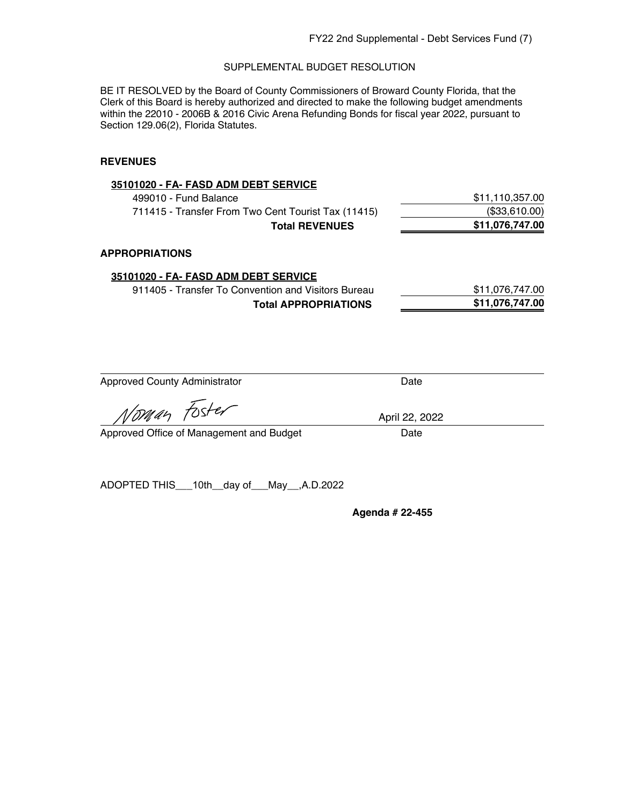BE IT RESOLVED by the Board of County Commissioners of Broward County Florida, that the Clerk of this Board is hereby authorized and directed to make the following budget amendments within the 22010 - 2006B & 2016 Civic Arena Refunding Bonds for fiscal year 2022, pursuant to Section 129.06(2), Florida Statutes.

#### **REVENUES**

| 35101020 - FA- FASD ADM DEBT SERVICE                                                                                 |                 |
|----------------------------------------------------------------------------------------------------------------------|-----------------|
| 499010 - Fund Balance                                                                                                | \$11,110,357.00 |
| 711415 - Transfer From Two Cent Tourist Tax (11415)                                                                  | (\$33,610.00)   |
| <b>Total REVENUES</b>                                                                                                | \$11,076,747.00 |
| <b>APPROPRIATIONS</b><br>35101020 - FA- FASD ADM DEBT SERVICE<br>911405 - Transfer To Convention and Visitors Bureau | \$11,076,747.00 |
| <b>Total APPROPRIATIONS</b>                                                                                          | \$11,076,747.00 |
|                                                                                                                      |                 |
|                                                                                                                      |                 |
|                                                                                                                      |                 |

Approved County Administrator **Date** 

Voman Foster

April 22, 2022

Approved Office of Management and Budget Date

ADOPTED THIS\_\_\_10th\_\_day of\_\_\_May\_\_,A.D.2022

**Agenda # 22-455**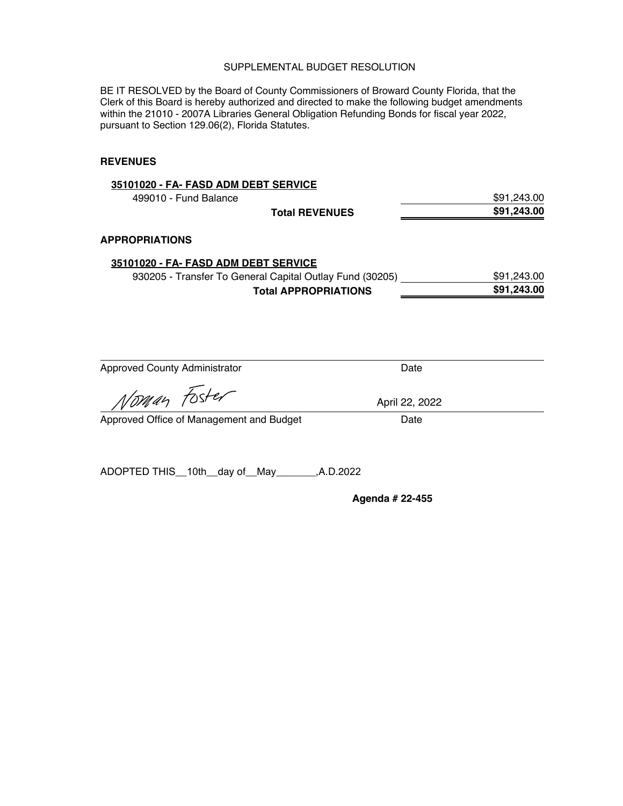BE IT RESOLVED by the Board of County Commissioners of Broward County Florida, that the Clerk of this Board is hereby authorized and directed to make the following budget amendments within the 21010 - 2007A Libraries General Obligation Refunding Bonds for fiscal year 2022, pursuant to Section 129.06(2), Florida Statutes.

#### **REVENUES**

| 35101020 - FA- FASD ADM DEBT SERVICE                     |             |
|----------------------------------------------------------|-------------|
| 499010 - Fund Balance                                    | \$91,243.00 |
| <b>Total REVENUES</b>                                    | \$91,243.00 |
| <b>APPROPRIATIONS</b>                                    |             |
| 35101020 - FA- FASD ADM DEBT SERVICE                     |             |
| 930205 - Transfer To General Capital Outlay Fund (30205) | \$91,243.00 |
| <b>Total APPROPRIATIONS</b>                              | \$91,243.00 |
|                                                          |             |

| <b>Approved County Administrator</b> | Date |
|--------------------------------------|------|
|--------------------------------------|------|

loman Foster

Approved Office of Management and Budget Date

ADOPTED THIS\_\_10th\_\_day of\_\_May\_\_\_\_\_\_\_,A.D.2022

**Agenda # 22-455**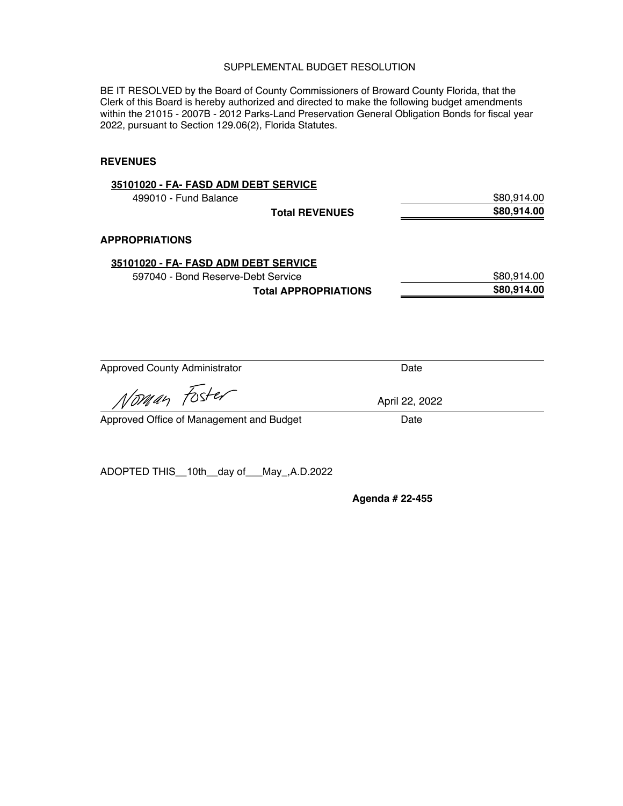BE IT RESOLVED by the Board of County Commissioners of Broward County Florida, that the Clerk of this Board is hereby authorized and directed to make the following budget amendments within the 21015 - 2007B - 2012 Parks-Land Preservation General Obligation Bonds for fiscal year 2022, pursuant to Section 129.06(2), Florida Statutes.

#### **REVENUES**

| 35101020 - FA- FASD ADM DEBT SERVICE |             |
|--------------------------------------|-------------|
| 499010 - Fund Balance                | \$80.914.00 |
| <b>Total REVENUES</b>                | \$80,914.00 |
| <b>APPROPRIATIONS</b>                |             |
| 35101020 - FA- FASD ADM DEBT SERVICE |             |
| 597040 - Bond Reserve-Debt Service   | \$80,914.00 |
| <b>Total APPROPRIATIONS</b>          | \$80,914.00 |
|                                      |             |
|                                      |             |
|                                      |             |

Approved County Administrator **Date** Date

*§* 

Approved Office of Management and Budget Date

ADOPTED THIS\_\_10th\_\_day of\_\_\_May\_,A.D.2022

**Agenda # 22-455**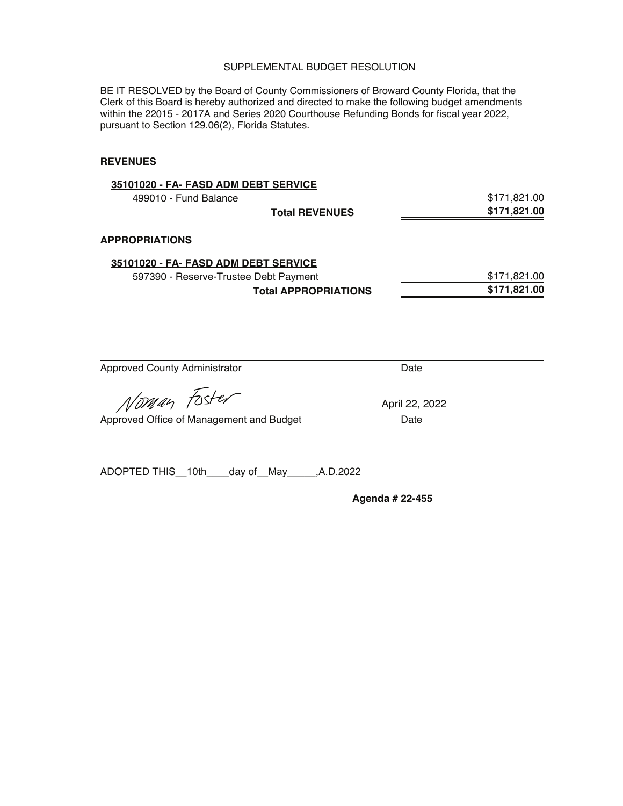BE IT RESOLVED by the Board of County Commissioners of Broward County Florida, that the Clerk of this Board is hereby authorized and directed to make the following budget amendments within the 22015 - 2017A and Series 2020 Courthouse Refunding Bonds for fiscal year 2022, pursuant to Section 129.06(2), Florida Statutes.

#### **REVENUES**

| 35101020 - FA- FASD ADM DEBT SERVICE  |                             |              |
|---------------------------------------|-----------------------------|--------------|
| 499010 - Fund Balance                 |                             | \$171,821.00 |
|                                       | <b>Total REVENUES</b>       | \$171,821.00 |
| <b>APPROPRIATIONS</b>                 |                             |              |
| 35101020 - FA- FASD ADM DEBT SERVICE  |                             |              |
| 597390 - Reserve-Trustee Debt Payment |                             | \$171,821.00 |
|                                       | <b>Total APPROPRIATIONS</b> | \$171,821.00 |
|                                       |                             |              |
|                                       |                             |              |
|                                       |                             |              |

Approved County Administrator **Date** Date

man Foster

Approved Office of Management and Budget Date

ADOPTED THIS\_\_10th\_\_\_\_day of\_\_May\_\_\_\_\_,A.D.2022

**Agenda # 22-455**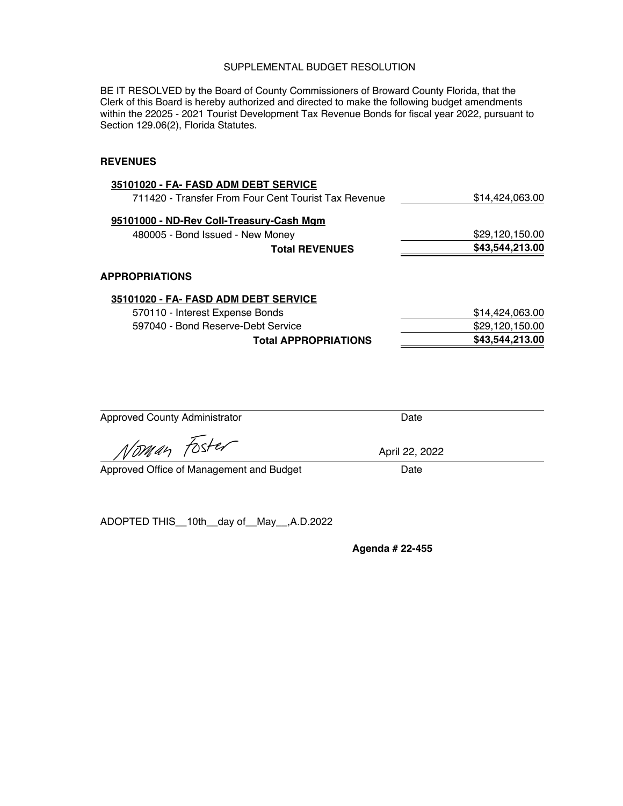BE IT RESOLVED by the Board of County Commissioners of Broward County Florida, that the Clerk of this Board is hereby authorized and directed to make the following budget amendments within the 22025 - 2021 Tourist Development Tax Revenue Bonds for fiscal year 2022, pursuant to Section 129.06(2), Florida Statutes.

#### **REVENUES**

| \$14,424,063.00 |
|-----------------|
|                 |
| \$29,120,150.00 |
| \$43,544,213.00 |
|                 |
|                 |
| \$14,424,063.00 |
|                 |

|                                    | .               |
|------------------------------------|-----------------|
| 597040 - Bond Reserve-Debt Service | \$29,120,150.00 |
| <b>Total APPROPRIATIONS</b>        | \$43,544,213.00 |
|                                    |                 |

Approved County Administrator **Date** Date

Noman Foster

Approved Office of Management and Budget Date

ADOPTED THIS\_\_10th\_\_day of\_\_May\_\_,A.D.2022

**Agenda # 22-455**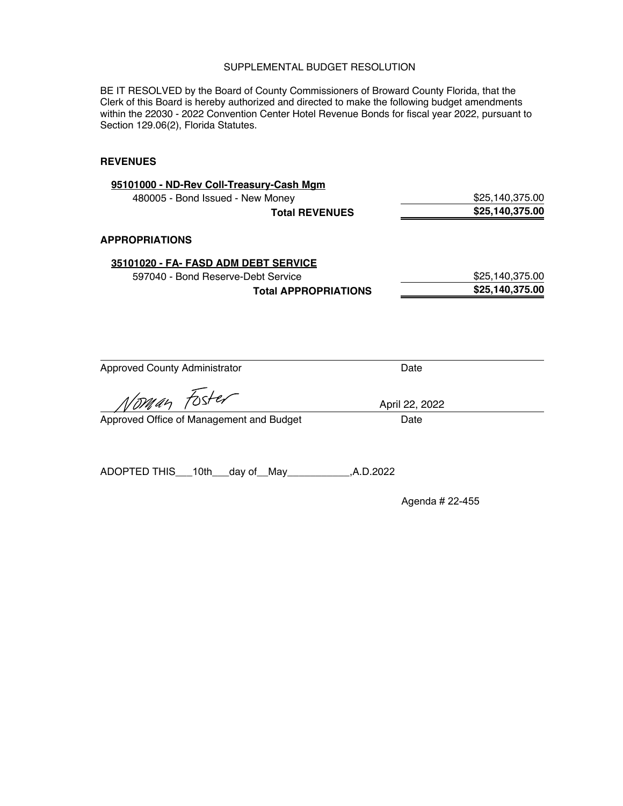BE IT RESOLVED by the Board of County Commissioners of Broward County Florida, that the Clerk of this Board is hereby authorized and directed to make the following budget amendments within the 22030 - 2022 Convention Center Hotel Revenue Bonds for fiscal year 2022, pursuant to Section 129.06(2), Florida Statutes.

#### **REVENUES**

| 95101000 - ND-Rev Coll-Treasury-Cash Mgm    |                |                 |
|---------------------------------------------|----------------|-----------------|
| 480005 - Bond Issued - New Money            |                | \$25,140,375.00 |
| <b>Total REVENUES</b>                       |                | \$25,140,375.00 |
| <b>APPROPRIATIONS</b>                       |                |                 |
| 35101020 - FA- FASD ADM DEBT SERVICE        |                |                 |
| 597040 - Bond Reserve-Debt Service          |                | \$25,140,375.00 |
| <b>Total APPROPRIATIONS</b>                 |                | \$25,140,375.00 |
| <b>Approved County Administrator</b>        | Date           |                 |
| Norman Foster                               | April 22, 2022 |                 |
| Approved Office of Management and Budget    | Date           |                 |
| ADOPTED THIS___10th___day of__May__________ | ,A.D.2022      |                 |

Agenda # 22-455